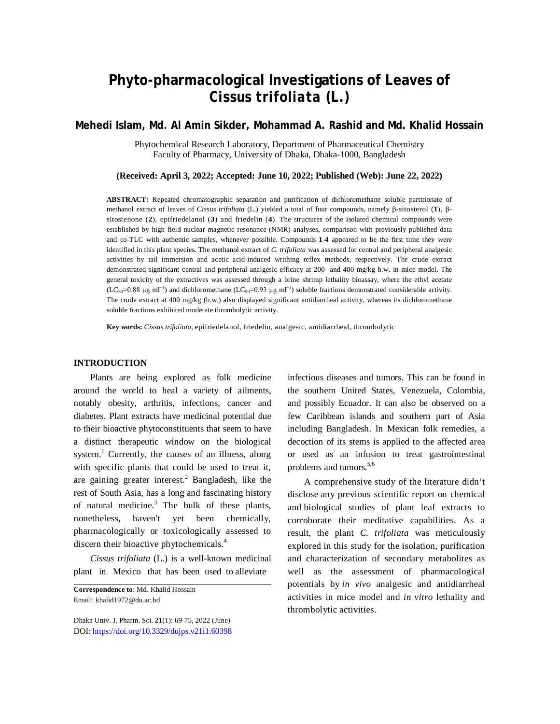# **Phyto-pharmacological Investigations of Leaves of** *Cissus trifoliata* **(L.)**

# **Mehedi Islam, Md. Al Amin Sikder, Mohammad A. Rashid and Md. Khalid Hossain**

Phytochemical Research Laboratory, Department of Pharmaceutical Chemistry Faculty of Pharmacy, University of Dhaka, Dhaka-1000, Bangladesh

**(Received: April 3, 2022; Accepted: June 10, 2022; Published (Web): June 22, 2022)**

**ABSTRACT:** Repeated chromatographic separation and purification of dichloromethane soluble partitionate of methanol extract of leaves of *Cissus trifoliata* (L.) yielded a total of four compounds, namely β-sitosterol (**1**), βsitostenone (**2**), epifriedelanol (**3**) and friedelin (**4**). The structures of the isolated chemical compounds were established by high field nuclear magnetic resonance (NMR) analyses, comparison with previously published data and co-TLC with authentic samples, whenever possible. Compounds **1**-**4** appeared to be the first time they were identified in this plant species. The methanol extract of *C. trifoliata* was assessed for central and peripheral analgesic activities by tail immersion and acetic acid-induced writhing reflex methods, respectively. The crude extract demonstrated significant central and peripheral analgesic efficacy at 200- and 400-mg/kg b.w. in mice model. The general toxicity of the extractives was assessed through a brine shrimp lethality bioassay, where the ethyl acetate  $(LC_{50}=0.88 \text{ µg m}^{-1})$  and dichloromethane  $(LC_{50}=0.93 \text{ µg m}^{-1})$  soluble fractions demonstrated considerable activity. The crude extract at 400 mg/kg (b.w.) also displayed significant antidiarrheal activity, whereas its dichloromethane soluble fractions exhibited moderate thrombolytic activity.

**Key words:** *Cissus trifoliata*, epifriedelanol, friedelin, analgesic, antidiarrheal, thrombolytic

## **INTRODUCTION**

Plants are being explored as folk medicine around the world to heal a variety of ailments, notably obesity, arthritis, infections, cancer and diabetes. Plant extracts have medicinal potential due to their bioactive phytoconstituents that seem to have a distinct therapeutic window on the biological system.<sup>1</sup> Currently, the causes of an illness, along with specific plants that could be used to treat it, are gaining greater interest. <sup>2</sup> Bangladesh, like the rest of South Asia, has a long and fascinating history of natural medicine.<sup>3</sup> The bulk of these plants, nonetheless, haven't yet been chemically, pharmacologically or toxicologically assessed to discern their bioactive phytochemicals.<sup>4</sup>

*Cissus trifoliata* (L.) is a well-known medicinal plant in Mexico that has been used to alleviate

infectious diseases and tumors. This can be found in the southern United States, Venezuela, Colombia, and possibly Ecuador. It can also be observed on a few Caribbean islands and southern part of Asia including Bangladesh. In Mexican folk remedies, a decoction of its stems is applied to the affected area or used as an infusion to treat gastrointestinal problems and tumors.<sup>5,6</sup>

A comprehensive study of the literature didn't disclose any previous scientific report on chemical and biological studies of plant leaf extracts to corroborate their meditative capabilities. As a result, the plant *C. trifoliata* was meticulously explored in this study for the isolation, purification and characterization of secondary metabolites as well as the assessment of pharmacological potentials by *in vivo* analgesic and antidiarrheal activities in mice model and *in vitro* lethality and thrombolytic activities.

**Correspondence to**: Md. Khalid Hossain Email: [khalid1972@du.ac.bd](mailto:khalid1972@du.ac.bd)

Dhaka Univ. J. Pharm. Sci. **21**(1): 69-75, 2022 (June) DOI:<https://doi.org/10.3329/dujps.v21i1.60398>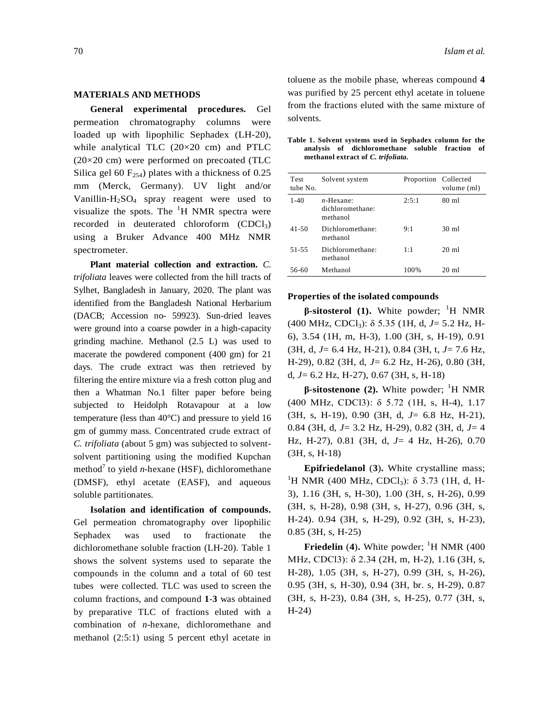# **MATERIALS AND METHODS**

**General experimental procedures.** Gel permeation chromatography columns were loaded up with lipophilic Sephadex (LH-20), while analytical TLC (20×20 cm) and PTLC (20×20 cm) were performed on precoated (TLC Silica gel 60  $F_{254}$ ) plates with a thickness of 0.25 mm (Merck, Germany). UV light and/or Vanillin- $H_2SO_4$  spray reagent were used to visualize the spots. The  ${}^{1}H$  NMR spectra were recorded in deuterated chloroform  $(CDCl<sub>3</sub>)$ using a Bruker Advance 400 MHz NMR spectrometer.

**Plant material collection and extraction.** *C. trifoliata* leaves were collected from the hill tracts of Sylhet, Bangladesh in January, 2020. The plant was identified from the Bangladesh National Herbarium (DACB; Accession no- 59923). Sun-dried leaves were ground into a coarse powder in a high-capacity grinding machine. Methanol (2.5 L) was used to macerate the powdered component (400 gm) for 21 days. The crude extract was then retrieved by filtering the entire mixture via a fresh cotton plug and then a Whatman No.1 filter paper before being subjected to Heidolph Rotavapour at a low temperature (less than 40°C) and pressure to yield 16 gm of gummy mass. Concentrated crude extract of *C. trifoliata* (about 5 gm) was subjected to solventsolvent partitioning using the modified Kupchan method<sup>7</sup> to yield *n*-hexane (HSF), dichloromethane (DMSF), ethyl acetate (EASF), and aqueous soluble partitionates.

**Isolation and identification of compounds.**  Gel permeation chromatography over lipophilic Sephadex was used to fractionate the dichloromethane soluble fraction (LH-20). Table 1 shows the solvent systems used to separate the compounds in the column and a total of 60 test tubes were collected. TLC was used to screen the column fractions, and compound **1**-**3** was obtained by preparative TLC of fractions eluted with a combination of *n*-hexane, dichloromethane and methanol (2:5:1) using 5 percent ethyl acetate in toluene as the mobile phase, whereas compound **4** was purified by 25 percent ethyl acetate in toluene from the fractions eluted with the same mixture of solvents.

**Table 1. Solvent systems used in Sephadex column for the analysis of dichloromethane soluble fraction of methanol extract of** *C. trifoliata.*

| Test<br>tube No. | Solvent system                                                    | Proportion Collected | volume (ml)     |
|------------------|-------------------------------------------------------------------|----------------------|-----------------|
| $1 - 40$         | n-Hexane <sup>.</sup><br>dichloromethane <sup>.</sup><br>methanol | 2:5:1                | $80 \text{ ml}$ |
| $41 - 50$        | Dichloromethane:<br>methanol                                      | 9:1                  | $30 \text{ ml}$ |
| $51 - 55$        | Dichloromethane:<br>methanol                                      | 1:1                  | $20 \text{ ml}$ |
| 56-60            | Methanol                                                          | 100%                 | $20 \text{ ml}$ |

#### **Properties of the isolated compounds**

**β-sitosterol** (1). White powder; <sup>1</sup>H NMR (400 MHz, CDCl3): δ 5.35 (1H, d, *J*= 5.2 Hz, H-6), 3.54 (1H, m, H-3), 1.00 (3H, s, H-19), 0.91 (3H, d, *J*= 6.4 Hz, H-21), 0.84 (3H, t, *J*= 7.6 Hz, H-29), 0.82 (3H, d, *J*= 6.2 Hz, H-26), 0.80 (3H, d, *J*= 6.2 Hz, H-27), 0.67 (3H, s, H-18)

**β-sitostenone** (2). White powder; <sup>1</sup>H NMR (400 MHz, CDCl3): δ 5.72 (1H, s, H-4), 1.17 (3H, s, H-19), 0.90 (3H, d, *J*= 6.8 Hz, H-21), 0.84 (3H, d, *J*= 3.2 Hz, H-29), 0.82 (3H, d, *J*= 4 Hz, H-27), 0.81 (3H, d, *J*= 4 Hz, H-26), 0.70 (3H, s, H-18)

**Epifriedelanol** (**3**)**.** White crystalline mass; <sup>1</sup>H NMR (400 MHz, CDCl<sub>3</sub>): δ 3.73 (1H, d, H-3), 1.16 (3H, s, H-30), 1.00 (3H, s, H-26), 0.99 (3H, s, H-28), 0.98 (3H, s, H-27), 0.96 (3H, s, H-24). 0.94 (3H, s, H-29), 0.92 (3H, s, H-23), 0.85 (3H, s, H-25)

**Friedelin** (4). White powder; <sup>1</sup>H NMR (400) MHz, CDCl3): δ 2.34 (2H, m, H-2), 1.16 (3H, s, H-28), 1.05 (3H, s, H-27), 0.99 (3H, s, H-26), 0.95 (3H, s, H-30), 0.94 (3H, br. s, H-29), 0.87 (3H, s, H-23), 0.84 (3H, s, H-25), 0.77 (3H, s, H-24)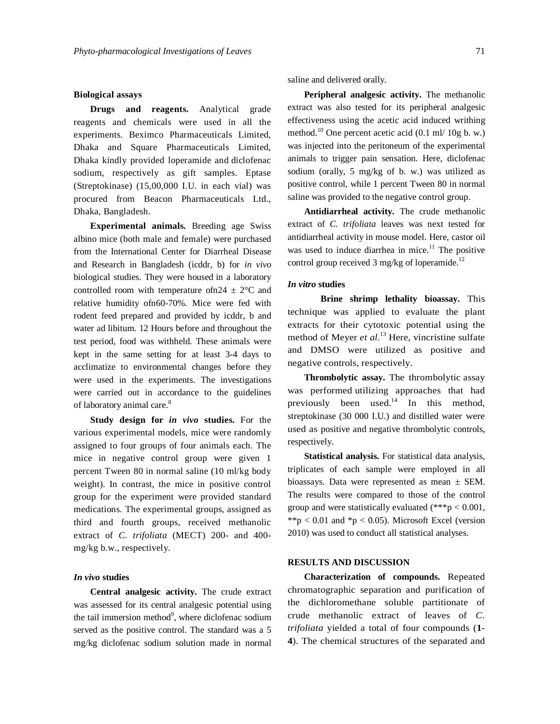#### **Biological assays**

**Drugs and reagents.** Analytical grade reagents and chemicals were used in all the experiments. Beximco Pharmaceuticals Limited, Dhaka and Square Pharmaceuticals Limited, Dhaka kindly provided loperamide and diclofenac sodium, respectively as gift samples. Eptase (Streptokinase) (15,00,000 I.U. in each vial) was procured from Beacon Pharmaceuticals Ltd., Dhaka, Bangladesh.

**Experimental animals.** Breeding age Swiss albino mice (both male and female) were purchased from the International Center for Diarrheal Disease and Research in Bangladesh (icddr, b) for *in vivo* biological studies. They were housed in a laboratory controlled room with temperature of  $n24 \pm 2$ °C and relative humidity ofn60-70%. Mice were fed with rodent feed prepared and provided by icddr, b and water ad libitum. 12 Hours before and throughout the test period, food was withheld. These animals were kept in the same setting for at least 3-4 days to acclimatize to environmental changes before they were used in the experiments. The investigations were carried out in accordance to the guidelines of laboratory animal care.<sup>8</sup>

**Study design for** *in vivo* **studies.** For the various experimental models, mice were randomly assigned to four groups of four animals each. The mice in negative control group were given 1 percent Tween 80 in normal saline (10 ml/kg body weight). In contrast, the mice in positive control group for the experiment were provided standard medications. The experimental groups, assigned as third and fourth groups, received methanolic extract of *C. trifoliata* (MECT) 200- and 400 mg/kg b.w., respectively.

## *In vivo* **studies**

**Central analgesic activity.** The crude extract was assessed for its central analgesic potential using the tail immersion method<sup>9</sup>, where diclofenac sodium served as the positive control. The standard was a 5 mg/kg diclofenac sodium solution made in normal saline and delivered orally.

**Peripheral analgesic activity.** The methanolic extract was also tested for its peripheral analgesic effectiveness using the acetic acid induced writhing method.<sup>10</sup> One percent acetic acid (0.1 ml/ 10g b. w.) was injected into the peritoneum of the experimental animals to trigger pain sensation. Here, diclofenac sodium (orally, 5 mg/kg of b. w.) was utilized as positive control, while 1 percent Tween 80 in normal saline was provided to the negative control group.

**Antidiarrheal activity.** The crude methanolic extract of *C. trifoliata* leaves was next tested for antidiarrheal activity in mouse model. Here, castor oil was used to induce diarrhea in mice.<sup>11</sup> The positive control group received 3 mg/kg of loperamide.<sup>12</sup>

#### *In vitro* **studies**

**Brine shrimp lethality bioassay.** This technique was applied to evaluate the plant extracts for their cytotoxic potential using the method of Meyer *et al.* <sup>13</sup> Here, vincristine sulfate and DMSO were utilized as positive and negative controls, respectively.

**Thrombolytic assay.** The thrombolytic assay was performed utilizing approaches that had previously been used.<sup>14</sup> In this method, streptokinase (30 000 I.U.) and distilled water were used as positive and negative thrombolytic controls, respectively.

**Statistical analysis.** For statistical data analysis, triplicates of each sample were employed in all bioassays. Data were represented as mean ± SEM. The results were compared to those of the control group and were statistically evaluated (\*\*\*p < 0.001, \*\*p < 0.01 and \*p < 0.05). Microsoft Excel (version 2010) was used to conduct all statistical analyses.

# **RESULTS AND DISCUSSION**

**Characterization of compounds.** Repeated chromatographic separation and purification of the dichloromethane soluble partitionate of crude methanolic extract of leaves of *C. trifoliata* yielded a total of four compounds (**1**- **4**). The chemical structures of the separated and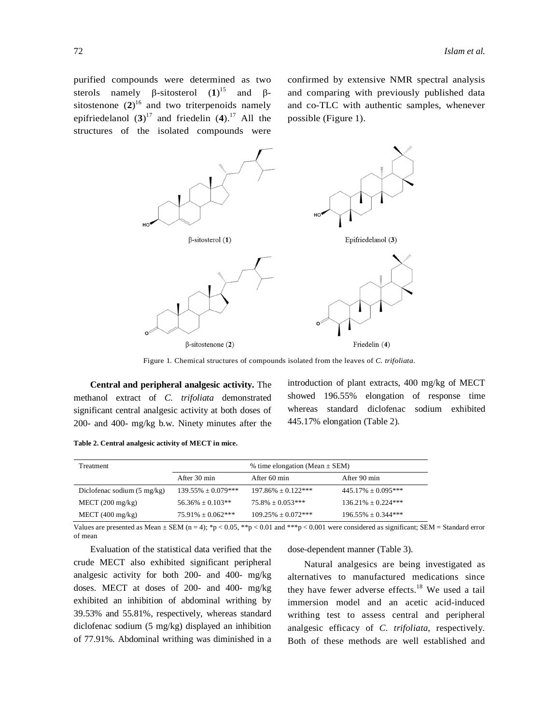purified compounds were determined as two sterols namely β-sitosterol (**1**) <sup>15</sup> and βsitostenone  $(2)^{16}$  and two triterpenoids namely epifriedelanol (**3**) <sup>17</sup> and friedelin (**4**). <sup>17</sup> All the structures of the isolated compounds were

confirmed by extensive NMR spectral analysis and comparing with previously published data and co-TLC with authentic samples, whenever possible (Figure 1).



Figure 1. Chemical structures of compounds isolated from the leaves of *C. trifoliata*.

**Central and peripheral analgesic activity.** The methanol extract of *C. trifoliata* demonstrated significant central analgesic activity at both doses of 200- and 400- mg/kg b.w. Ninety minutes after the introduction of plant extracts, 400 mg/kg of MECT showed 196.55% elongation of response time whereas standard diclofenac sodium exhibited 445.17% elongation (Table 2).

**Table 2. Central analgesic activity of MECT in mice.**

| Treatment                             |                         | % time elongation (Mean $\pm$ SEM) |                         |  |
|---------------------------------------|-------------------------|------------------------------------|-------------------------|--|
|                                       | After 30 min            | After 60 min                       | After 90 min            |  |
| Diclofenac sodium $(5 \text{ mg/kg})$ | $139.55\% \pm 0.079***$ | $197.86\% + 0.122***$              | $445.17\% \pm 0.095***$ |  |
| MECT $(200 \text{ mg/kg})$            | $56.36\% + 0.103**$     | $75.8\% \pm 0.053***$              | $136.21\% \pm 0.224***$ |  |
| MECT $(400 \text{ mg/kg})$            | $75.91\% \pm 0.062***$  | $109.25\% \pm 0.072***$            | $196.55\% \pm 0.344***$ |  |

Values are presented as Mean  $\pm$  SEM (n = 4); \*p < 0.05, \*\*p < 0.01 and \*\*\*p < 0.001 were considered as significant; SEM = Standard error of mean

Evaluation of the statistical data verified that the crude MECT also exhibited significant peripheral analgesic activity for both 200- and 400- mg/kg doses. MECT at doses of 200- and 400- mg/kg exhibited an inhibition of abdominal writhing by 39.53% and 55.81%, respectively, whereas standard diclofenac sodium (5 mg/kg) displayed an inhibition of 77.91%. Abdominal writhing was diminished in a dose-dependent manner (Table 3).

Natural analgesics are being investigated as alternatives to manufactured medications since they have fewer adverse effects. <sup>18</sup> We used a tail immersion model and an acetic acid-induced writhing test to assess central and peripheral analgesic efficacy of *C. trifoliata*, respectively. Both of these methods are well established and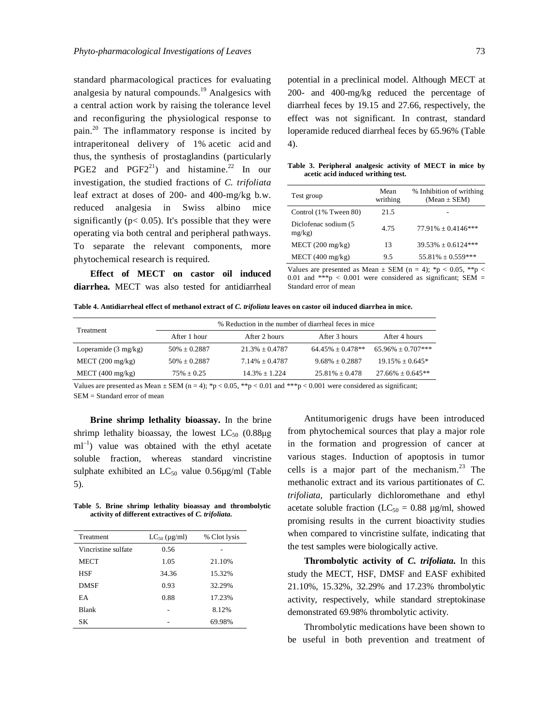standard pharmacological practices for evaluating analgesia by natural compounds. <sup>19</sup> Analgesics with a central action work by raising the tolerance level and reconfiguring the physiological response to pain.<sup>20</sup> The inflammatory response is incited by intraperitoneal delivery of 1% acetic acid and thus, the synthesis of prostaglandins (particularly PGE2 and  $PGF2^{21}$ ) and histamine.<sup>22</sup> In our investigation, the studied fractions of *C. trifoliata* leaf extract at doses of 200- and 400-mg/kg b.w. reduced analgesia in Swiss albino mice significantly ( $p < 0.05$ ). It's possible that they were operating via both central and peripheral pathways. To separate the relevant components, more phytochemical research is required.

**Effect of MECT on castor oil induced diarrhea.** MECT was also tested for antidiarrheal potential in a preclinical model. Although MECT at 200- and 400-mg/kg reduced the percentage of diarrheal feces by 19.15 and 27.66, respectively, the effect was not significant. In contrast, standard loperamide reduced diarrheal feces by 65.96% (Table 4).

**Table 3. Peripheral analgesic activity of MECT in mice by acetic acid induced writhing test.**

| Test group                        | Mean<br>writhing | % Inhibition of writhing<br>$(Mean \pm SEM)$ |
|-----------------------------------|------------------|----------------------------------------------|
| Control (1% Tween 80)             | 21.5             |                                              |
| Diclofenac sodium (5<br>$mg/kg$ ) | 4.75             | $77.91\% \pm 0.4146$ ***                     |
| MECT $(200 \text{ mg/kg})$        | 13               | $39.53\% \pm 0.6124***$                      |
| MECT $(400 \text{ mg/kg})$        | 9.5              | $55.81\% \pm 0.559***$                       |

Values are presented as Mean  $\pm$  SEM (n = 4); \*p < 0.05, \*\*p < 0.01 and \*\*\*p  $< 0.001$  were considered as significant; SEM = Standard error of mean

**Table 4. Antidiarrheal effect of methanol extract of** *C. trifoliata* **leaves on castor oil induced diarrhea in mice.**

| Treatment                      | % Reduction in the number of diarrheal feces in mice |                     |                     |                        |
|--------------------------------|------------------------------------------------------|---------------------|---------------------|------------------------|
|                                | After 1 hour                                         | After 2 hours       | After 3 hours       | After 4 hours          |
| Loperamide $(3 \text{ mg/kg})$ | $50\% \pm 0.2887$                                    | $21.3\% \pm 0.4787$ | $64.45\% + 0.478**$ | $65.96\% \pm 0.707***$ |
| MECT $(200 \text{ mg/kg})$     | $50\% + 0.2887$                                      | $7.14\% \pm 0.4787$ | $9.68\% + 0.2887$   | $19.15\% \pm 0.645*$   |
| MECT $(400 \text{ mg/kg})$     | $75\% + 0.25$                                        | $14.3\% \pm 1.224$  | $25.81\% \pm 0.478$ | $27.66\% \pm 0.645**$  |

Values are presented as Mean  $\pm$  SEM (n = 4); \*p < 0.05, \*\*p < 0.01 and \*\*\*p < 0.001 were considered as significant; SEM = Standard error of mean

**Brine shrimp lethality bioassay.** In the brine shrimp lethality bioassay, the lowest  $LC_{50}$  (0.88 $\mu$ g  $ml^{-1}$ ) value was obtained with the ethyl acetate soluble fraction, whereas standard vincristine sulphate exhibited an  $LC_{50}$  value 0.56 $\mu$ g/ml (Table 5).

**Table 5. Brine shrimp lethality bioassay and thrombolytic activity of different extractives of** *C. trifoliata.*

| Treatment           | $LC_{50}$ (µg/ml) | % Clot lysis |
|---------------------|-------------------|--------------|
| Vincristine sulfate | 0.56              |              |
| <b>MECT</b>         | 1.05              | 21.10%       |
| <b>HSF</b>          | 34.36             | 15.32%       |
| <b>DMSF</b>         | 0.93              | 32.29%       |
| EA                  | 0.88              | 17.23%       |
| <b>Blank</b>        |                   | 8.12%        |
| SК                  |                   | 69.98%       |

Antitumorigenic drugs have been introduced from phytochemical sources that play a major role in the formation and progression of cancer at various stages. Induction of apoptosis in tumor cells is a major part of the mechanism. <sup>23</sup> The methanolic extract and its various partitionates of *C. trifoliata*, particularly dichloromethane and ethyl acetate soluble fraction ( $LC_{50} = 0.88$  µg/ml, showed promising results in the current bioactivity studies when compared to vincristine sulfate, indicating that the test samples were biologically active.

**Thrombolytic activity of** *C. trifoliata***.** In this study the MECT, HSF, DMSF and EASF exhibited 21.10%, 15.32%, 32.29% and 17.23% thrombolytic activity, respectively, while standard streptokinase demonstrated 69.98% thrombolytic activity.

Thrombolytic medications have been shown to be useful in both prevention and treatment of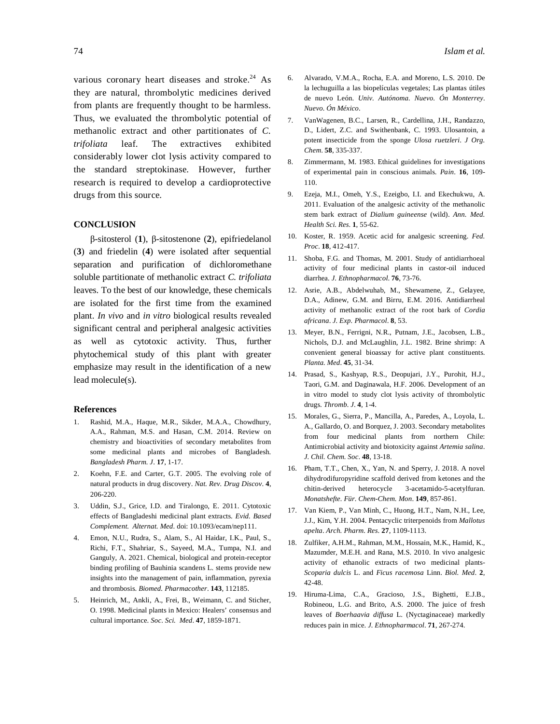various coronary heart diseases and stroke.<sup>24</sup> As they are natural, thrombolytic medicines derived from plants are frequently thought to be harmless. Thus, we evaluated the thrombolytic potential of methanolic extract and other partitionates of *C. trifoliata* leaf. The extractives exhibited considerably lower clot lysis activity compared to the standard streptokinase. However, further research is required to develop a cardioprotective drugs from this source.

#### **CONCLUSION**

β-sitosterol (**1**), β-sitostenone (**2**), epifriedelanol (**3**) and friedelin (**4**) were isolated after sequential separation and purification of dichloromethane soluble partitionate of methanolic extract *C. trifoliata* leaves. To the best of our knowledge, these chemicals are isolated for the first time from the examined plant. *In vivo* and *in vitro* biological results revealed significant central and peripheral analgesic activities as well as cytotoxic activity. Thus, further phytochemical study of this plant with greater emphasize may result in the identification of a new lead molecule(s).

#### **References**

- 1. Rashid, M.A., Haque, M.R., Sikder, M.A.A., Chowdhury, A.A., Rahman, M.S. and Hasan, C.M. 2014. Review on chemistry and bioactivities of secondary metabolites from some medicinal plants and microbes of Bangladesh. *Bangladesh Pharm. J*. **17**, 1-17.
- 2. Koehn, F.E. and Carter, G.T. 2005. The evolving role of natural products in drug discovery. *Nat. Rev. Drug Discov*. **4**, 206-220.
- 3. Uddin, S.J., Grice, I.D. and Tiralongo, E. 2011. Cytotoxic effects of Bangladeshi medicinal plant extracts. *Evid. Based Complement. Alternat. Med*. doi: 10.1093/ecam/nep111.
- 4. Emon, N.U., Rudra, S., Alam, S., Al Haidar, I.K., Paul, S., Richi, F.T., Shahriar, S., Sayeed, M.A., Tumpa, N.I. and Ganguly, A. 2021. Chemical, biological and protein-receptor binding profiling of Bauhinia scandens L. stems provide new insights into the management of pain, inflammation, pyrexia and thrombosis. *Biomed. Pharmacother*. **143**, 112185.
- 5. Heinrich, M., Ankli, A., Frei, B., Weimann, C. and Sticher, O. 1998. Medicinal plants in Mexico: Healers' consensus and cultural importance. *Soc. Sci. Med*. **47**, 1859-1871.
- 6. Alvarado, V.M.A., Rocha, E.A. and Moreno, L.S. 2010. De la lechuguilla a las biopelículas vegetales; Las plantas útiles de nuevo León. *Univ. Autónoma. Nuevo. Ón Monterrey. Nuevo. Ón México*.
- 7. VanWagenen, B.C., Larsen, R., Cardellina, J.H., Randazzo, D., Lidert, Z.C. and Swithenbank, C. 1993. Ulosantoin, a potent insecticide from the sponge *Ulosa ruetzleri*. *J Org. Chem*. **58**, 335-337.
- 8. Zimmermann, M. 1983. Ethical guidelines for investigations of experimental pain in conscious animals. *Pain*. **16**, 109- 110.
- 9. Ezeja, M.I., Omeh, Y.S., Ezeigbo, I.I. and Ekechukwu, A. 2011. Evaluation of the analgesic activity of the methanolic stem bark extract of *Dialium guineense* (wild). *Ann. Med. Health Sci. Res*. **1**, 55-62.
- 10. Koster, R. 1959. Acetic acid for analgesic screening. *Fed. Proc*. **18**, 412-417.
- 11. Shoba, F.G. and Thomas, M. 2001. Study of antidiarrhoeal activity of four medicinal plants in castor-oil induced diarrhea. *J. Ethnopharmacol*. **76**, 73-76.
- 12. Asrie, A.B., Abdelwuhab, M., Shewamene, Z., Gelayee, D.A., Adinew, G.M. and Birru, E.M. 2016. Antidiarrheal activity of methanolic extract of the root bark of *Cordia africana*. *J. Exp. Pharmacol*. **8**, 53.
- 13. Meyer, B.N., Ferrigni, N.R., Putnam, J.E., Jacobsen, L.B., Nichols, D.J. and McLaughlin, J.L. 1982. Brine shrimp: A convenient general bioassay for active plant constituents. *Planta. Med*. **45**, 31-34.
- 14. Prasad, S., Kashyap, R.S., Deopujari, J.Y., Purohit, H.J., Taori, G.M. and Daginawala, H.F. 2006. Development of an in vitro model to study clot lysis activity of thrombolytic drugs. *Thromb. J*. **4**, 1-4.
- 15. Morales, G., Sierra, P., Mancilla, A., Paredes, A., Loyola, L. A., Gallardo, O. and Borquez, J. 2003. Secondary metabolites from four medicinal plants from northern Chile: Antimicrobial activity and biotoxicity against *Artemia salina*. *J. Chil. Chem. Soc*. **48**, 13-18.
- 16. Pham, T.T., Chen, X., Yan, N. and Sperry, J. 2018. A novel dihydrodifuropyridine scaffold derived from ketones and the chitin-derived heterocycle 3-acetamido-5-acetylfuran. *Monatshefte. Für. Chem-Chem. Mon*. **149**, 857-861.
- 17. Van Kiem, P., Van Minh, C., Huong, H.T., Nam, N.H., Lee, J.J., Kim, Y.H. 2004. Pentacyclic triterpenoids from *Mallotus apelta*. *Arch. Pharm. Res*. **27**, 1109-1113.
- 18. Zulfiker, A.H.M., Rahman, M.M., Hossain, M.K., Hamid, K., Mazumder, M.E.H. and Rana, M.S. 2010. In vivo analgesic activity of ethanolic extracts of two medicinal plants-*Scoparia dulcis* L. and *Ficus racemosa* Linn. *Biol. Med*. **2**, 42-48.
- 19. Hiruma-Lima, C.A., Gracioso, J.S., Bighetti, E.J.B., Robineou, L.G. and Brito, A.S. 2000. The juice of fresh leaves of *Boerhaavia diffusa* L. (Nyctaginaceae) markedly reduces pain in mice. *J. Ethnopharmacol*. **71**, 267-274.